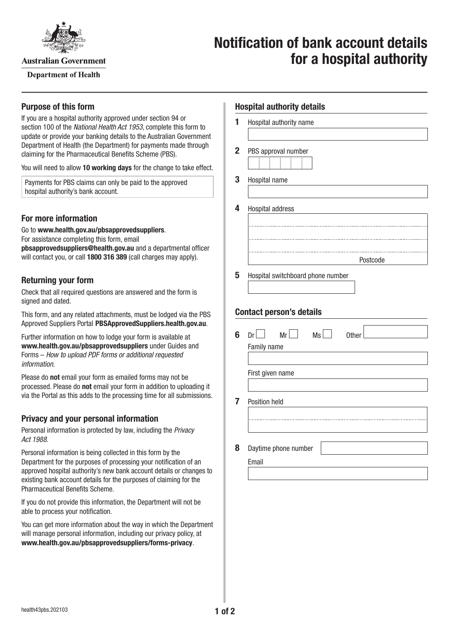

**Australian Government** 

**Department of Health** 

# **Notification of bank account details for a hospital authority**

### **Purpose of this form**

If you are a hospital authority approved under section 94 or section 100 of the *National Health Act 1953*, complete this form to update or provide your banking details to the Australian Government Department of Health (the Department) for payments made through claiming for the Pharmaceutical Benefits Scheme (PBS).

You will need to allow **10 working days** for the change to take effect.

Payments for PBS claims can only be paid to the approved hospital authority's bank account.

## **For more information**

Go to **[www.health.gov.au/pbsapprovedsuppliers](http://www.health.gov.au/pbsapprovedsuppliers)**. For assistance completing this form, email **[pbsapprovedsuppliers@health.gov.au](mailto:pbsapprovedsuppliers@health.gov.au)** and a departmental officer will contact you, or call **1800 316 389** (call charges may apply).

## **Returning your form**

Check that all required questions are answered and the form is signed and dated.

This form, and any related attachments, must be lodged via the PBS Approved Suppliers Portal [PBSApprovedSuppliers.health.gov.au](https://pbsapprovedsuppliers.health.gov.au/).

Further information on how to lodge your form is available at **[www.health.gov.au/pbsapprovedsuppliers](http://www.health.gov.au/pbsapprovedsuppliers)** under Guides and Forms – *How to upload PDF forms or additional requested information*.

Please do **not** email your form as emailed forms may not be processed. Please do **not** email your form in addition to uploading it via the Portal as this adds to the processing time for all submissions.

## **Privacy and your personal information**

Personal information is protected by law, including the *Privacy Act 1988.*

Personal information is being collected in this form by the Department for the purposes of processing your notification of an approved hospital authority's new bank account details or changes to existing bank account details for the purposes of claiming for the Pharmaceutical Benefits Scheme.

If you do not provide this information, the Department will not be able to process your notification.

You can get more information about the way in which the Department will manage personal information, including our privacy policy, at **[www.health.gov.au/pbsapprovedsuppliers/forms-privacy](http://www.health.gov.au/pbsapprovedsuppliers/forms-privacy)**.

| <b>Hospital authority details</b> |                                                              |
|-----------------------------------|--------------------------------------------------------------|
| 1                                 | Hospital authority name                                      |
|                                   |                                                              |
| $\mathbf{2}$                      | PBS approval number                                          |
| 3                                 | Hospital name                                                |
|                                   |                                                              |
| 4                                 | Hospital address                                             |
|                                   |                                                              |
|                                   |                                                              |
|                                   | Postcode                                                     |
| 5                                 | Hospital switchboard phone number                            |
|                                   |                                                              |
|                                   | <b>Contact person's details</b>                              |
|                                   |                                                              |
| 6                                 | Ms<br>Dr <sub>1</sub><br>$Mr$ $\Box$<br>Other<br>Family name |
|                                   |                                                              |
|                                   | First given name                                             |
|                                   |                                                              |
| 7                                 | Position held                                                |
|                                   |                                                              |
|                                   |                                                              |
| 8                                 | Daytime phone number<br>Email                                |
|                                   |                                                              |